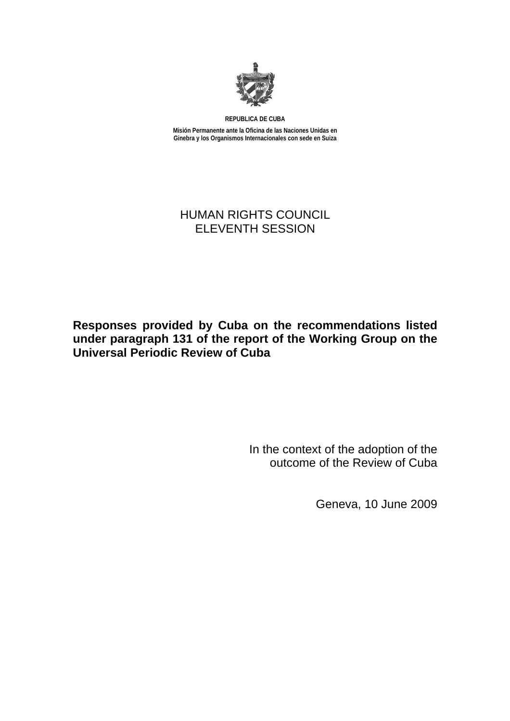

**REPUBLICA DE CUBA** 

**Misión Permanente ante la Oficina de las Naciones Unidas en Ginebra y los Organismos Internacionales con sede en Suiza** 

# HUMAN RIGHTS COUNCIL ELEVENTH SESSION

# **Responses provided by Cuba on the recommendations listed under paragraph 131 of the report of the Working Group on the Universal Periodic Review of Cuba**

In the context of the adoption of the outcome of the Review of Cuba

Geneva, 10 June 2009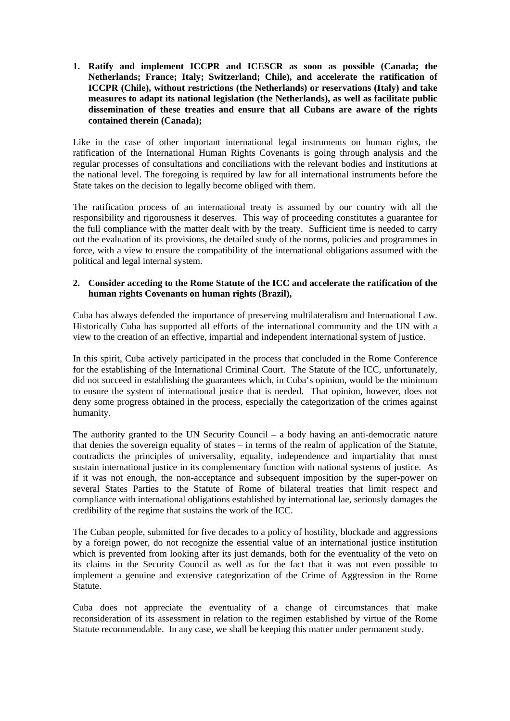**1. Ratify and implement ICCPR and ICESCR as soon as possible (Canada; the Netherlands; France; Italy; Switzerland; Chile), and accelerate the ratification of ICCPR (Chile), without restrictions (the Netherlands) or reservations (Italy) and take measures to adapt its national legislation (the Netherlands), as well as facilitate public dissemination of these treaties and ensure that all Cubans are aware of the rights contained therein (Canada);** 

Like in the case of other important international legal instruments on human rights, the ratification of the International Human Rights Covenants is going through analysis and the regular processes of consultations and conciliations with the relevant bodies and institutions at the national level. The foregoing is required by law for all international instruments before the State takes on the decision to legally become obliged with them.

The ratification process of an international treaty is assumed by our country with all the responsibility and rigorousness it deserves. This way of proceeding constitutes a guarantee for the full compliance with the matter dealt with by the treaty. Sufficient time is needed to carry out the evaluation of its provisions, the detailed study of the norms, policies and programmes in force, with a view to ensure the compatibility of the international obligations assumed with the political and legal internal system.

# **2. Consider acceding to the Rome Statute of the ICC and accelerate the ratification of the human rights Covenants on human rights (Brazil),**

Cuba has always defended the importance of preserving multilateralism and International Law. Historically Cuba has supported all efforts of the international community and the UN with a view to the creation of an effective, impartial and independent international system of justice.

In this spirit, Cuba actively participated in the process that concluded in the Rome Conference for the establishing of the International Criminal Court. The Statute of the ICC, unfortunately, did not succeed in establishing the guarantees which, in Cuba's opinion, would be the minimum to ensure the system of international justice that is needed. That opinion, however, does not deny some progress obtained in the process, especially the categorization of the crimes against humanity.

The authority granted to the UN Security Council – a body having an anti-democratic nature that denies the sovereign equality of states – in terms of the realm of application of the Statute, contradicts the principles of universality, equality, independence and impartiality that must sustain international justice in its complementary function with national systems of justice. As if it was not enough, the non-acceptance and subsequent imposition by the super-power on several States Parties to the Statute of Rome of bilateral treaties that limit respect and compliance with international obligations established by international lae, seriously damages the credibility of the regime that sustains the work of the ICC.

The Cuban people, submitted for five decades to a policy of hostility, blockade and aggressions by a foreign power, do not recognize the essential value of an international justice institution which is prevented from looking after its just demands, both for the eventuality of the veto on its claims in the Security Council as well as for the fact that it was not even possible to implement a genuine and extensive categorization of the Crime of Aggression in the Rome Statute.

Cuba does not appreciate the eventuality of a change of circumstances that make reconsideration of its assessment in relation to the regimen established by virtue of the Rome Statute recommendable. In any case, we shall be keeping this matter under permanent study.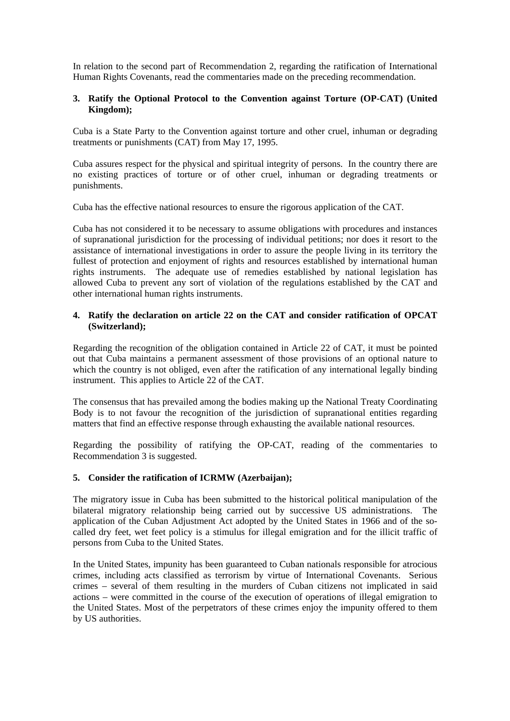In relation to the second part of Recommendation 2, regarding the ratification of International Human Rights Covenants, read the commentaries made on the preceding recommendation.

# **3. Ratify the Optional Protocol to the Convention against Torture (OP-CAT) (United Kingdom);**

Cuba is a State Party to the Convention against torture and other cruel, inhuman or degrading treatments or punishments (CAT) from May 17, 1995.

Cuba assures respect for the physical and spiritual integrity of persons. In the country there are no existing practices of torture or of other cruel, inhuman or degrading treatments or punishments.

Cuba has the effective national resources to ensure the rigorous application of the CAT.

Cuba has not considered it to be necessary to assume obligations with procedures and instances of supranational jurisdiction for the processing of individual petitions; nor does it resort to the assistance of international investigations in order to assure the people living in its territory the fullest of protection and enjoyment of rights and resources established by international human rights instruments. The adequate use of remedies established by national legislation has allowed Cuba to prevent any sort of violation of the regulations established by the CAT and other international human rights instruments.

# **4. Ratify the declaration on article 22 on the CAT and consider ratification of OPCAT (Switzerland);**

Regarding the recognition of the obligation contained in Article 22 of CAT, it must be pointed out that Cuba maintains a permanent assessment of those provisions of an optional nature to which the country is not obliged, even after the ratification of any international legally binding instrument. This applies to Article 22 of the CAT.

The consensus that has prevailed among the bodies making up the National Treaty Coordinating Body is to not favour the recognition of the jurisdiction of supranational entities regarding matters that find an effective response through exhausting the available national resources.

Regarding the possibility of ratifying the OP-CAT, reading of the commentaries to Recommendation 3 is suggested.

#### **5. Consider the ratification of ICRMW (Azerbaijan);**

The migratory issue in Cuba has been submitted to the historical political manipulation of the bilateral migratory relationship being carried out by successive US administrations. The application of the Cuban Adjustment Act adopted by the United States in 1966 and of the socalled dry feet, wet feet policy is a stimulus for illegal emigration and for the illicit traffic of persons from Cuba to the United States.

In the United States, impunity has been guaranteed to Cuban nationals responsible for atrocious crimes, including acts classified as terrorism by virtue of International Covenants. Serious crimes – several of them resulting in the murders of Cuban citizens not implicated in said actions – were committed in the course of the execution of operations of illegal emigration to the United States. Most of the perpetrators of these crimes enjoy the impunity offered to them by US authorities.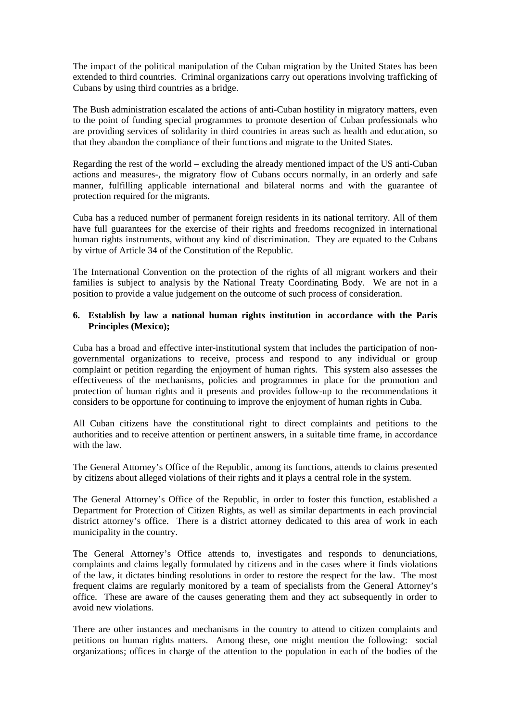The impact of the political manipulation of the Cuban migration by the United States has been extended to third countries. Criminal organizations carry out operations involving trafficking of Cubans by using third countries as a bridge.

The Bush administration escalated the actions of anti-Cuban hostility in migratory matters, even to the point of funding special programmes to promote desertion of Cuban professionals who are providing services of solidarity in third countries in areas such as health and education, so that they abandon the compliance of their functions and migrate to the United States.

Regarding the rest of the world – excluding the already mentioned impact of the US anti-Cuban actions and measures-, the migratory flow of Cubans occurs normally, in an orderly and safe manner, fulfilling applicable international and bilateral norms and with the guarantee of protection required for the migrants.

Cuba has a reduced number of permanent foreign residents in its national territory. All of them have full guarantees for the exercise of their rights and freedoms recognized in international human rights instruments, without any kind of discrimination. They are equated to the Cubans by virtue of Article 34 of the Constitution of the Republic.

The International Convention on the protection of the rights of all migrant workers and their families is subject to analysis by the National Treaty Coordinating Body. We are not in a position to provide a value judgement on the outcome of such process of consideration.

# **6. Establish by law a national human rights institution in accordance with the Paris Principles (Mexico);**

Cuba has a broad and effective inter-institutional system that includes the participation of nongovernmental organizations to receive, process and respond to any individual or group complaint or petition regarding the enjoyment of human rights. This system also assesses the effectiveness of the mechanisms, policies and programmes in place for the promotion and protection of human rights and it presents and provides follow-up to the recommendations it considers to be opportune for continuing to improve the enjoyment of human rights in Cuba.

All Cuban citizens have the constitutional right to direct complaints and petitions to the authorities and to receive attention or pertinent answers, in a suitable time frame, in accordance with the law.

The General Attorney's Office of the Republic, among its functions, attends to claims presented by citizens about alleged violations of their rights and it plays a central role in the system.

The General Attorney's Office of the Republic, in order to foster this function, established a Department for Protection of Citizen Rights, as well as similar departments in each provincial district attorney's office. There is a district attorney dedicated to this area of work in each municipality in the country.

The General Attorney's Office attends to, investigates and responds to denunciations, complaints and claims legally formulated by citizens and in the cases where it finds violations of the law, it dictates binding resolutions in order to restore the respect for the law. The most frequent claims are regularly monitored by a team of specialists from the General Attorney's office. These are aware of the causes generating them and they act subsequently in order to avoid new violations.

There are other instances and mechanisms in the country to attend to citizen complaints and petitions on human rights matters. Among these, one might mention the following: social organizations; offices in charge of the attention to the population in each of the bodies of the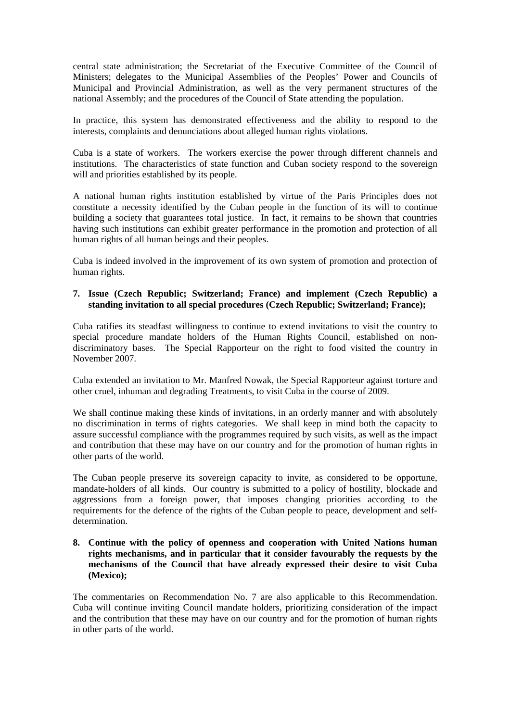central state administration; the Secretariat of the Executive Committee of the Council of Ministers; delegates to the Municipal Assemblies of the Peoples' Power and Councils of Municipal and Provincial Administration, as well as the very permanent structures of the national Assembly; and the procedures of the Council of State attending the population.

In practice, this system has demonstrated effectiveness and the ability to respond to the interests, complaints and denunciations about alleged human rights violations.

Cuba is a state of workers. The workers exercise the power through different channels and institutions. The characteristics of state function and Cuban society respond to the sovereign will and priorities established by its people.

A national human rights institution established by virtue of the Paris Principles does not constitute a necessity identified by the Cuban people in the function of its will to continue building a society that guarantees total justice. In fact, it remains to be shown that countries having such institutions can exhibit greater performance in the promotion and protection of all human rights of all human beings and their peoples.

Cuba is indeed involved in the improvement of its own system of promotion and protection of human rights.

# **7. Issue (Czech Republic; Switzerland; France) and implement (Czech Republic) a standing invitation to all special procedures (Czech Republic; Switzerland; France);**

Cuba ratifies its steadfast willingness to continue to extend invitations to visit the country to special procedure mandate holders of the Human Rights Council, established on nondiscriminatory bases. The Special Rapporteur on the right to food visited the country in November 2007.

Cuba extended an invitation to Mr. Manfred Nowak, the Special Rapporteur against torture and other cruel, inhuman and degrading Treatments, to visit Cuba in the course of 2009.

We shall continue making these kinds of invitations, in an orderly manner and with absolutely no discrimination in terms of rights categories. We shall keep in mind both the capacity to assure successful compliance with the programmes required by such visits, as well as the impact and contribution that these may have on our country and for the promotion of human rights in other parts of the world.

The Cuban people preserve its sovereign capacity to invite, as considered to be opportune, mandate-holders of all kinds. Our country is submitted to a policy of hostility, blockade and aggressions from a foreign power, that imposes changing priorities according to the requirements for the defence of the rights of the Cuban people to peace, development and selfdetermination.

# **8. Continue with the policy of openness and cooperation with United Nations human rights mechanisms, and in particular that it consider favourably the requests by the mechanisms of the Council that have already expressed their desire to visit Cuba (Mexico);**

The commentaries on Recommendation No. 7 are also applicable to this Recommendation. Cuba will continue inviting Council mandate holders, prioritizing consideration of the impact and the contribution that these may have on our country and for the promotion of human rights in other parts of the world.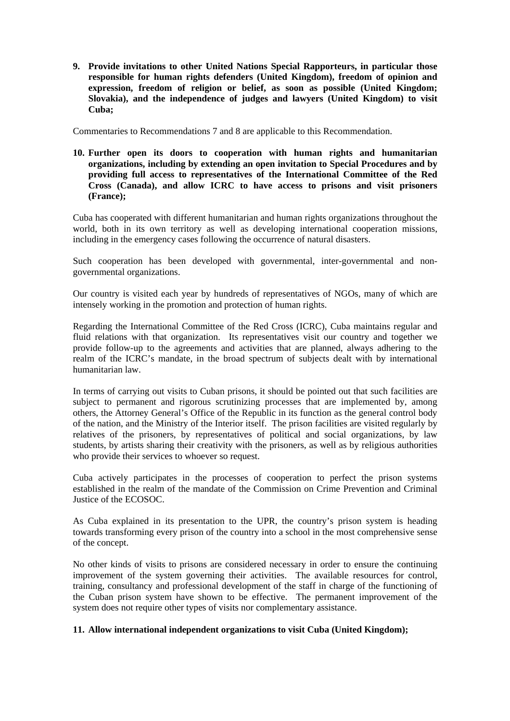**9. Provide invitations to other United Nations Special Rapporteurs, in particular those responsible for human rights defenders (United Kingdom), freedom of opinion and expression, freedom of religion or belief, as soon as possible (United Kingdom; Slovakia), and the independence of judges and lawyers (United Kingdom) to visit Cuba;** 

Commentaries to Recommendations 7 and 8 are applicable to this Recommendation.

**10. Further open its doors to cooperation with human rights and humanitarian organizations, including by extending an open invitation to Special Procedures and by providing full access to representatives of the International Committee of the Red Cross (Canada), and allow ICRC to have access to prisons and visit prisoners (France);** 

Cuba has cooperated with different humanitarian and human rights organizations throughout the world, both in its own territory as well as developing international cooperation missions, including in the emergency cases following the occurrence of natural disasters.

Such cooperation has been developed with governmental, inter-governmental and nongovernmental organizations.

Our country is visited each year by hundreds of representatives of NGOs, many of which are intensely working in the promotion and protection of human rights.

Regarding the International Committee of the Red Cross (ICRC), Cuba maintains regular and fluid relations with that organization. Its representatives visit our country and together we provide follow-up to the agreements and activities that are planned, always adhering to the realm of the ICRC's mandate, in the broad spectrum of subjects dealt with by international humanitarian law.

In terms of carrying out visits to Cuban prisons, it should be pointed out that such facilities are subject to permanent and rigorous scrutinizing processes that are implemented by, among others, the Attorney General's Office of the Republic in its function as the general control body of the nation, and the Ministry of the Interior itself. The prison facilities are visited regularly by relatives of the prisoners, by representatives of political and social organizations, by law students, by artists sharing their creativity with the prisoners, as well as by religious authorities who provide their services to whoever so request.

Cuba actively participates in the processes of cooperation to perfect the prison systems established in the realm of the mandate of the Commission on Crime Prevention and Criminal Justice of the ECOSOC.

As Cuba explained in its presentation to the UPR, the country's prison system is heading towards transforming every prison of the country into a school in the most comprehensive sense of the concept.

No other kinds of visits to prisons are considered necessary in order to ensure the continuing improvement of the system governing their activities. The available resources for control, training, consultancy and professional development of the staff in charge of the functioning of the Cuban prison system have shown to be effective. The permanent improvement of the system does not require other types of visits nor complementary assistance.

#### **11. Allow international independent organizations to visit Cuba (United Kingdom);**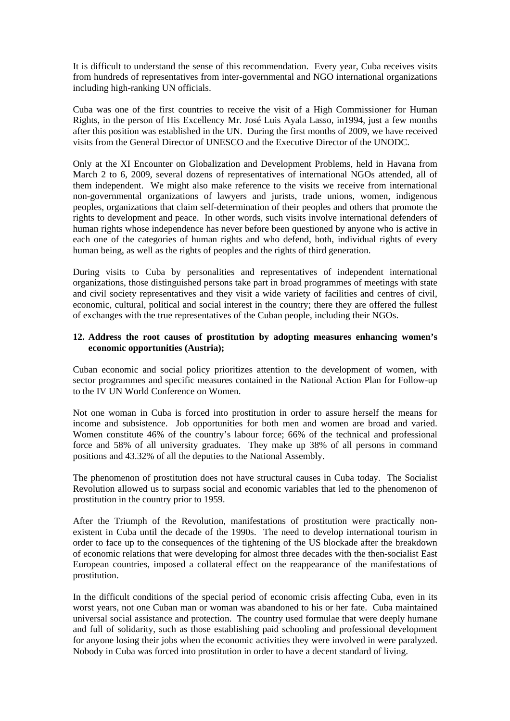It is difficult to understand the sense of this recommendation. Every year, Cuba receives visits from hundreds of representatives from inter-governmental and NGO international organizations including high-ranking UN officials.

Cuba was one of the first countries to receive the visit of a High Commissioner for Human Rights, in the person of His Excellency Mr. José Luis Ayala Lasso, in1994, just a few months after this position was established in the UN. During the first months of 2009, we have received visits from the General Director of UNESCO and the Executive Director of the UNODC.

Only at the XI Encounter on Globalization and Development Problems, held in Havana from March 2 to 6, 2009, several dozens of representatives of international NGOs attended, all of them independent. We might also make reference to the visits we receive from international non-governmental organizations of lawyers and jurists, trade unions, women, indigenous peoples, organizations that claim self-determination of their peoples and others that promote the rights to development and peace. In other words, such visits involve international defenders of human rights whose independence has never before been questioned by anyone who is active in each one of the categories of human rights and who defend, both, individual rights of every human being, as well as the rights of peoples and the rights of third generation.

During visits to Cuba by personalities and representatives of independent international organizations, those distinguished persons take part in broad programmes of meetings with state and civil society representatives and they visit a wide variety of facilities and centres of civil, economic, cultural, political and social interest in the country; there they are offered the fullest of exchanges with the true representatives of the Cuban people, including their NGOs.

# **12. Address the root causes of prostitution by adopting measures enhancing women's economic opportunities (Austria);**

Cuban economic and social policy prioritizes attention to the development of women, with sector programmes and specific measures contained in the National Action Plan for Follow-up to the IV UN World Conference on Women.

Not one woman in Cuba is forced into prostitution in order to assure herself the means for income and subsistence. Job opportunities for both men and women are broad and varied. Women constitute 46% of the country's labour force; 66% of the technical and professional force and 58% of all university graduates. They make up 38% of all persons in command positions and 43.32% of all the deputies to the National Assembly.

The phenomenon of prostitution does not have structural causes in Cuba today. The Socialist Revolution allowed us to surpass social and economic variables that led to the phenomenon of prostitution in the country prior to 1959.

After the Triumph of the Revolution, manifestations of prostitution were practically nonexistent in Cuba until the decade of the 1990s. The need to develop international tourism in order to face up to the consequences of the tightening of the US blockade after the breakdown of economic relations that were developing for almost three decades with the then-socialist East European countries, imposed a collateral effect on the reappearance of the manifestations of prostitution.

In the difficult conditions of the special period of economic crisis affecting Cuba, even in its worst years, not one Cuban man or woman was abandoned to his or her fate. Cuba maintained universal social assistance and protection. The country used formulae that were deeply humane and full of solidarity, such as those establishing paid schooling and professional development for anyone losing their jobs when the economic activities they were involved in were paralyzed. Nobody in Cuba was forced into prostitution in order to have a decent standard of living.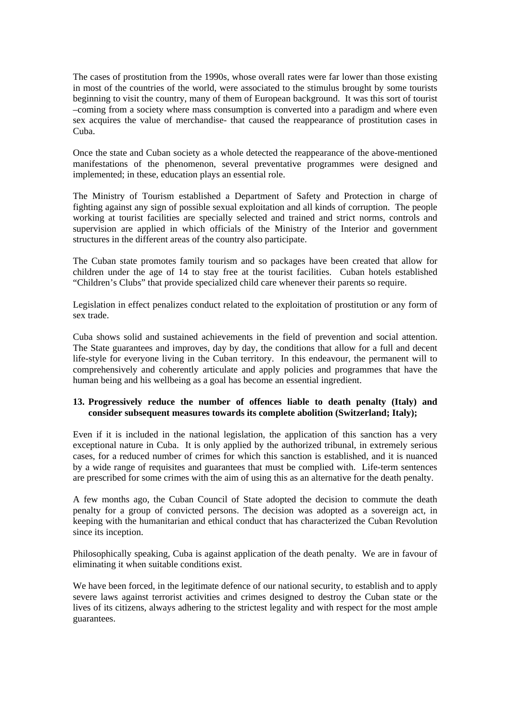The cases of prostitution from the 1990s, whose overall rates were far lower than those existing in most of the countries of the world, were associated to the stimulus brought by some tourists beginning to visit the country, many of them of European background. It was this sort of tourist –coming from a society where mass consumption is converted into a paradigm and where even sex acquires the value of merchandise- that caused the reappearance of prostitution cases in Cuba.

Once the state and Cuban society as a whole detected the reappearance of the above-mentioned manifestations of the phenomenon, several preventative programmes were designed and implemented; in these, education plays an essential role.

The Ministry of Tourism established a Department of Safety and Protection in charge of fighting against any sign of possible sexual exploitation and all kinds of corruption. The people working at tourist facilities are specially selected and trained and strict norms, controls and supervision are applied in which officials of the Ministry of the Interior and government structures in the different areas of the country also participate.

The Cuban state promotes family tourism and so packages have been created that allow for children under the age of 14 to stay free at the tourist facilities. Cuban hotels established "Children's Clubs" that provide specialized child care whenever their parents so require.

Legislation in effect penalizes conduct related to the exploitation of prostitution or any form of sex trade.

Cuba shows solid and sustained achievements in the field of prevention and social attention. The State guarantees and improves, day by day, the conditions that allow for a full and decent life-style for everyone living in the Cuban territory. In this endeavour, the permanent will to comprehensively and coherently articulate and apply policies and programmes that have the human being and his wellbeing as a goal has become an essential ingredient.

# **13. Progressively reduce the number of offences liable to death penalty (Italy) and consider subsequent measures towards its complete abolition (Switzerland; Italy);**

Even if it is included in the national legislation, the application of this sanction has a very exceptional nature in Cuba. It is only applied by the authorized tribunal, in extremely serious cases, for a reduced number of crimes for which this sanction is established, and it is nuanced by a wide range of requisites and guarantees that must be complied with. Life-term sentences are prescribed for some crimes with the aim of using this as an alternative for the death penalty.

A few months ago, the Cuban Council of State adopted the decision to commute the death penalty for a group of convicted persons. The decision was adopted as a sovereign act, in keeping with the humanitarian and ethical conduct that has characterized the Cuban Revolution since its inception.

Philosophically speaking, Cuba is against application of the death penalty. We are in favour of eliminating it when suitable conditions exist.

We have been forced, in the legitimate defence of our national security, to establish and to apply severe laws against terrorist activities and crimes designed to destroy the Cuban state or the lives of its citizens, always adhering to the strictest legality and with respect for the most ample guarantees.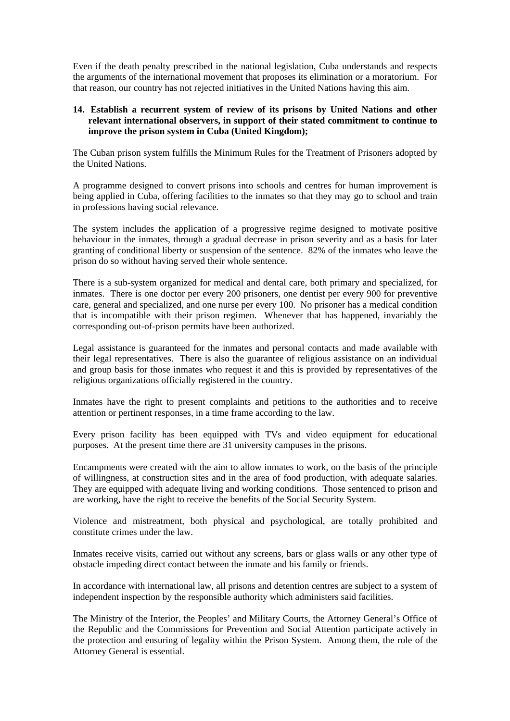Even if the death penalty prescribed in the national legislation, Cuba understands and respects the arguments of the international movement that proposes its elimination or a moratorium. For that reason, our country has not rejected initiatives in the United Nations having this aim.

#### **14. Establish a recurrent system of review of its prisons by United Nations and other relevant international observers, in support of their stated commitment to continue to improve the prison system in Cuba (United Kingdom);**

The Cuban prison system fulfills the Minimum Rules for the Treatment of Prisoners adopted by the United Nations.

A programme designed to convert prisons into schools and centres for human improvement is being applied in Cuba, offering facilities to the inmates so that they may go to school and train in professions having social relevance.

The system includes the application of a progressive regime designed to motivate positive behaviour in the inmates, through a gradual decrease in prison severity and as a basis for later granting of conditional liberty or suspension of the sentence. 82% of the inmates who leave the prison do so without having served their whole sentence.

There is a sub-system organized for medical and dental care, both primary and specialized, for inmates. There is one doctor per every 200 prisoners, one dentist per every 900 for preventive care, general and specialized, and one nurse per every 100. No prisoner has a medical condition that is incompatible with their prison regimen. Whenever that has happened, invariably the corresponding out-of-prison permits have been authorized.

Legal assistance is guaranteed for the inmates and personal contacts and made available with their legal representatives. There is also the guarantee of religious assistance on an individual and group basis for those inmates who request it and this is provided by representatives of the religious organizations officially registered in the country.

Inmates have the right to present complaints and petitions to the authorities and to receive attention or pertinent responses, in a time frame according to the law.

Every prison facility has been equipped with TVs and video equipment for educational purposes. At the present time there are 31 university campuses in the prisons.

Encampments were created with the aim to allow inmates to work, on the basis of the principle of willingness, at construction sites and in the area of food production, with adequate salaries. They are equipped with adequate living and working conditions. Those sentenced to prison and are working, have the right to receive the benefits of the Social Security System.

Violence and mistreatment, both physical and psychological, are totally prohibited and constitute crimes under the law.

Inmates receive visits, carried out without any screens, bars or glass walls or any other type of obstacle impeding direct contact between the inmate and his family or friends.

In accordance with international law, all prisons and detention centres are subject to a system of independent inspection by the responsible authority which administers said facilities.

The Ministry of the Interior, the Peoples' and Military Courts, the Attorney General's Office of the Republic and the Commissions for Prevention and Social Attention participate actively in the protection and ensuring of legality within the Prison System. Among them, the role of the Attorney General is essential.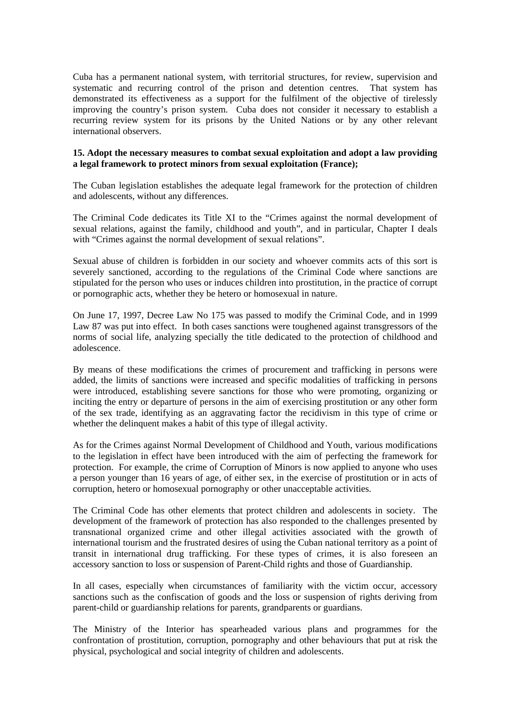Cuba has a permanent national system, with territorial structures, for review, supervision and systematic and recurring control of the prison and detention centres. That system has demonstrated its effectiveness as a support for the fulfilment of the objective of tirelessly improving the country's prison system. Cuba does not consider it necessary to establish a recurring review system for its prisons by the United Nations or by any other relevant international observers.

#### **15. Adopt the necessary measures to combat sexual exploitation and adopt a law providing a legal framework to protect minors from sexual exploitation (France);**

The Cuban legislation establishes the adequate legal framework for the protection of children and adolescents, without any differences.

The Criminal Code dedicates its Title XI to the "Crimes against the normal development of sexual relations, against the family, childhood and youth", and in particular, Chapter I deals with "Crimes against the normal development of sexual relations".

Sexual abuse of children is forbidden in our society and whoever commits acts of this sort is severely sanctioned, according to the regulations of the Criminal Code where sanctions are stipulated for the person who uses or induces children into prostitution, in the practice of corrupt or pornographic acts, whether they be hetero or homosexual in nature.

On June 17, 1997, Decree Law No 175 was passed to modify the Criminal Code, and in 1999 Law 87 was put into effect. In both cases sanctions were toughened against transgressors of the norms of social life, analyzing specially the title dedicated to the protection of childhood and adolescence.

By means of these modifications the crimes of procurement and trafficking in persons were added, the limits of sanctions were increased and specific modalities of trafficking in persons were introduced, establishing severe sanctions for those who were promoting, organizing or inciting the entry or departure of persons in the aim of exercising prostitution or any other form of the sex trade, identifying as an aggravating factor the recidivism in this type of crime or whether the delinquent makes a habit of this type of illegal activity.

As for the Crimes against Normal Development of Childhood and Youth, various modifications to the legislation in effect have been introduced with the aim of perfecting the framework for protection. For example, the crime of Corruption of Minors is now applied to anyone who uses a person younger than 16 years of age, of either sex, in the exercise of prostitution or in acts of corruption, hetero or homosexual pornography or other unacceptable activities.

The Criminal Code has other elements that protect children and adolescents in society. The development of the framework of protection has also responded to the challenges presented by transnational organized crime and other illegal activities associated with the growth of international tourism and the frustrated desires of using the Cuban national territory as a point of transit in international drug trafficking. For these types of crimes, it is also foreseen an accessory sanction to loss or suspension of Parent-Child rights and those of Guardianship.

In all cases, especially when circumstances of familiarity with the victim occur, accessory sanctions such as the confiscation of goods and the loss or suspension of rights deriving from parent-child or guardianship relations for parents, grandparents or guardians.

The Ministry of the Interior has spearheaded various plans and programmes for the confrontation of prostitution, corruption, pornography and other behaviours that put at risk the physical, psychological and social integrity of children and adolescents.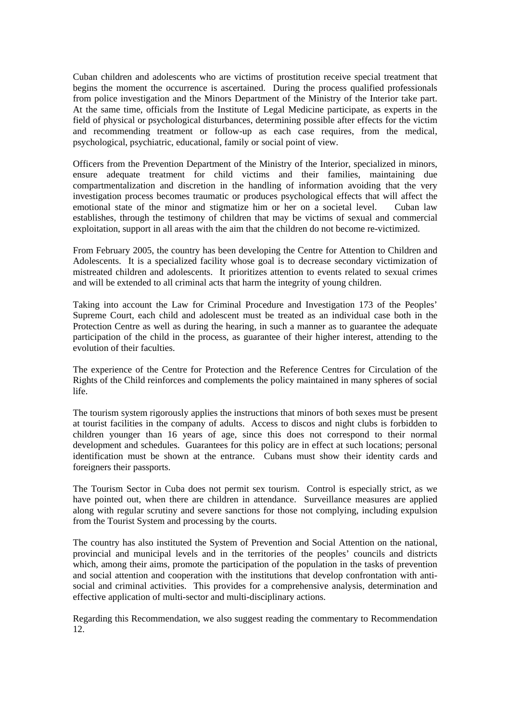Cuban children and adolescents who are victims of prostitution receive special treatment that begins the moment the occurrence is ascertained. During the process qualified professionals from police investigation and the Minors Department of the Ministry of the Interior take part. At the same time, officials from the Institute of Legal Medicine participate, as experts in the field of physical or psychological disturbances, determining possible after effects for the victim and recommending treatment or follow-up as each case requires, from the medical, psychological, psychiatric, educational, family or social point of view.

Officers from the Prevention Department of the Ministry of the Interior, specialized in minors, ensure adequate treatment for child victims and their families, maintaining due compartmentalization and discretion in the handling of information avoiding that the very investigation process becomes traumatic or produces psychological effects that will affect the emotional state of the minor and stigmatize him or her on a societal level. Cuban law establishes, through the testimony of children that may be victims of sexual and commercial exploitation, support in all areas with the aim that the children do not become re-victimized.

From February 2005, the country has been developing the Centre for Attention to Children and Adolescents. It is a specialized facility whose goal is to decrease secondary victimization of mistreated children and adolescents. It prioritizes attention to events related to sexual crimes and will be extended to all criminal acts that harm the integrity of young children.

Taking into account the Law for Criminal Procedure and Investigation 173 of the Peoples' Supreme Court, each child and adolescent must be treated as an individual case both in the Protection Centre as well as during the hearing, in such a manner as to guarantee the adequate participation of the child in the process, as guarantee of their higher interest, attending to the evolution of their faculties.

The experience of the Centre for Protection and the Reference Centres for Circulation of the Rights of the Child reinforces and complements the policy maintained in many spheres of social life.

The tourism system rigorously applies the instructions that minors of both sexes must be present at tourist facilities in the company of adults. Access to discos and night clubs is forbidden to children younger than 16 years of age, since this does not correspond to their normal development and schedules. Guarantees for this policy are in effect at such locations; personal identification must be shown at the entrance. Cubans must show their identity cards and foreigners their passports.

The Tourism Sector in Cuba does not permit sex tourism. Control is especially strict, as we have pointed out, when there are children in attendance. Surveillance measures are applied along with regular scrutiny and severe sanctions for those not complying, including expulsion from the Tourist System and processing by the courts.

The country has also instituted the System of Prevention and Social Attention on the national, provincial and municipal levels and in the territories of the peoples' councils and districts which, among their aims, promote the participation of the population in the tasks of prevention and social attention and cooperation with the institutions that develop confrontation with antisocial and criminal activities. This provides for a comprehensive analysis, determination and effective application of multi-sector and multi-disciplinary actions.

Regarding this Recommendation, we also suggest reading the commentary to Recommendation 12.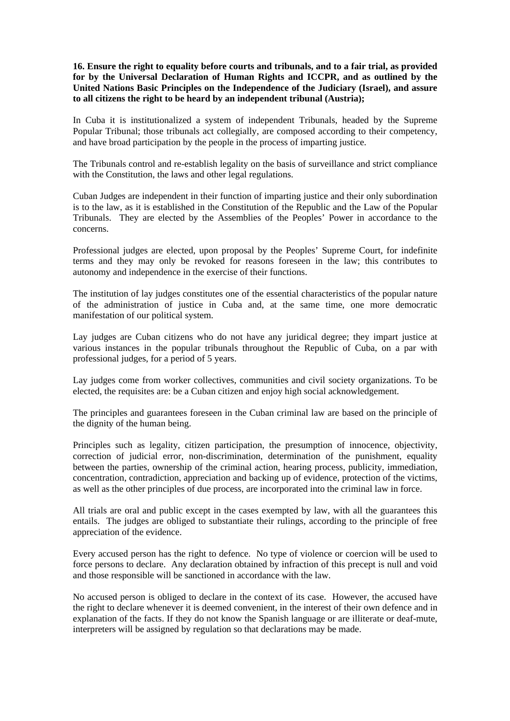**16. Ensure the right to equality before courts and tribunals, and to a fair trial, as provided for by the Universal Declaration of Human Rights and ICCPR, and as outlined by the United Nations Basic Principles on the Independence of the Judiciary (Israel), and assure to all citizens the right to be heard by an independent tribunal (Austria);** 

In Cuba it is institutionalized a system of independent Tribunals, headed by the Supreme Popular Tribunal; those tribunals act collegially, are composed according to their competency, and have broad participation by the people in the process of imparting justice.

The Tribunals control and re-establish legality on the basis of surveillance and strict compliance with the Constitution, the laws and other legal regulations.

Cuban Judges are independent in their function of imparting justice and their only subordination is to the law, as it is established in the Constitution of the Republic and the Law of the Popular Tribunals. They are elected by the Assemblies of the Peoples' Power in accordance to the concerns.

Professional judges are elected, upon proposal by the Peoples' Supreme Court, for indefinite terms and they may only be revoked for reasons foreseen in the law; this contributes to autonomy and independence in the exercise of their functions.

The institution of lay judges constitutes one of the essential characteristics of the popular nature of the administration of justice in Cuba and, at the same time, one more democratic manifestation of our political system.

Lay judges are Cuban citizens who do not have any juridical degree; they impart justice at various instances in the popular tribunals throughout the Republic of Cuba, on a par with professional judges, for a period of 5 years.

Lay judges come from worker collectives, communities and civil society organizations. To be elected, the requisites are: be a Cuban citizen and enjoy high social acknowledgement.

The principles and guarantees foreseen in the Cuban criminal law are based on the principle of the dignity of the human being.

Principles such as legality, citizen participation, the presumption of innocence, objectivity, correction of judicial error, non-discrimination, determination of the punishment, equality between the parties, ownership of the criminal action, hearing process, publicity, immediation, concentration, contradiction, appreciation and backing up of evidence, protection of the victims, as well as the other principles of due process, are incorporated into the criminal law in force.

All trials are oral and public except in the cases exempted by law, with all the guarantees this entails. The judges are obliged to substantiate their rulings, according to the principle of free appreciation of the evidence.

Every accused person has the right to defence. No type of violence or coercion will be used to force persons to declare. Any declaration obtained by infraction of this precept is null and void and those responsible will be sanctioned in accordance with the law.

No accused person is obliged to declare in the context of its case. However, the accused have the right to declare whenever it is deemed convenient, in the interest of their own defence and in explanation of the facts. If they do not know the Spanish language or are illiterate or deaf-mute, interpreters will be assigned by regulation so that declarations may be made.